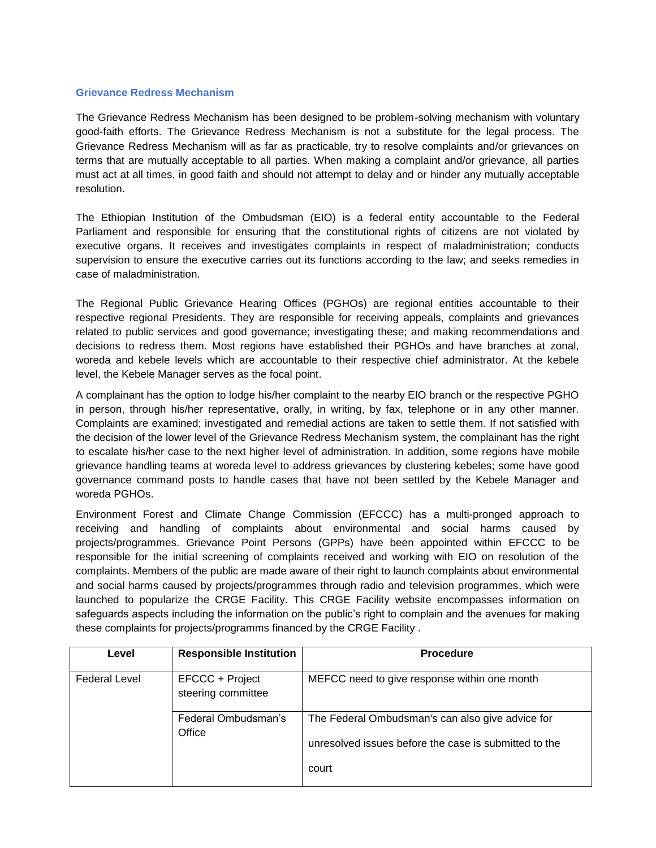## **Grievance Redress Mechanism**

The Grievance Redress Mechanism has been designed to be problem-solving mechanism with voluntary good-faith efforts. The Grievance Redress Mechanism is not a substitute for the legal process. The Grievance Redress Mechanism will as far as practicable, try to resolve complaints and/or grievances on terms that are mutually acceptable to all parties. When making a complaint and/or grievance, all parties must act at all times, in good faith and should not attempt to delay and or hinder any mutually acceptable resolution.

The Ethiopian Institution of the Ombudsman (EIO) is a federal entity accountable to the Federal Parliament and responsible for ensuring that the constitutional rights of citizens are not violated by executive organs. It receives and investigates complaints in respect of maladministration; conducts supervision to ensure the executive carries out its functions according to the law; and seeks remedies in case of maladministration.

The Regional Public Grievance Hearing Offices (PGHOs) are regional entities accountable to their respective regional Presidents. They are responsible for receiving appeals, complaints and grievances related to public services and good governance; investigating these; and making recommendations and decisions to redress them. Most regions have established their PGHOs and have branches at zonal, woreda and kebele levels which are accountable to their respective chief administrator. At the kebele level, the Kebele Manager serves as the focal point.

A complainant has the option to lodge his/her complaint to the nearby EIO branch or the respective PGHO in person, through his/her representative, orally, in writing, by fax, telephone or in any other manner. Complaints are examined; investigated and remedial actions are taken to settle them. If not satisfied with the decision of the lower level of the Grievance Redress Mechanism system, the complainant has the right to escalate his/her case to the next higher level of administration. In addition, some regions have mobile grievance handling teams at woreda level to address grievances by clustering kebeles; some have good governance command posts to handle cases that have not been settled by the Kebele Manager and woreda PGHOs.

Environment Forest and Climate Change Commission (EFCCC) has a multi-pronged approach to receiving and handling of complaints about environmental and social harms caused by projects/programmes. Grievance Point Persons (GPPs) have been appointed within EFCCC to be responsible for the initial screening of complaints received and working with EIO on resolution of the complaints. Members of the public are made aware of their right to launch complaints about environmental and social harms caused by projects/programmes through radio and television programmes, which were launched to popularize the CRGE Facility. This CRGE Facility website encompasses information on safeguards aspects including the information on the public's right to complain and the avenues for making these complaints for projects/programms financed by the CRGE Facility .

| Level                | <b>Responsible Institution</b>        | <b>Procedure</b>                                                                                                   |
|----------------------|---------------------------------------|--------------------------------------------------------------------------------------------------------------------|
| <b>Federal Level</b> | EFCCC + Project<br>steering committee | MEFCC need to give response within one month                                                                       |
|                      | Federal Ombudsman's<br>Office         | The Federal Ombudsman's can also give advice for<br>unresolved issues before the case is submitted to the<br>court |